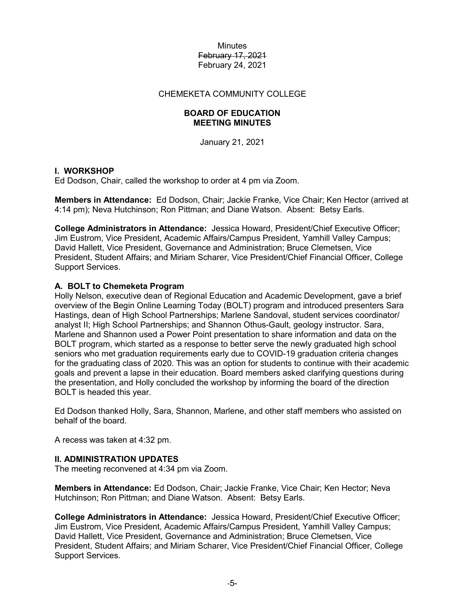### CHEMEKETA COMMUNITY COLLEGE

## **BOARD OF EDUCATION MEETING MINUTES**

January 21, 2021

## **I. WORKSHOP**

Ed Dodson, Chair, called the workshop to order at 4 pm via Zoom.

**Members in Attendance:** Ed Dodson, Chair; Jackie Franke, Vice Chair; Ken Hector (arrived at 4:14 pm); Neva Hutchinson; Ron Pittman; and Diane Watson. Absent: Betsy Earls.

**College Administrators in Attendance:** Jessica Howard, President/Chief Executive Officer; Jim Eustrom, Vice President, Academic Affairs/Campus President, Yamhill Valley Campus; David Hallett, Vice President, Governance and Administration; Bruce Clemetsen, Vice President, Student Affairs; and Miriam Scharer, Vice President/Chief Financial Officer, College Support Services.

### **A. BOLT to Chemeketa Program**

Holly Nelson, executive dean of Regional Education and Academic Development, gave a brief overview of the Begin Online Learning Today (BOLT) program and introduced presenters Sara Hastings, dean of High School Partnerships; Marlene Sandoval, student services coordinator/ analyst II; High School Partnerships; and Shannon Othus-Gault, geology instructor. Sara, Marlene and Shannon used a Power Point presentation to share information and data on the BOLT program, which started as a response to better serve the newly graduated high school seniors who met graduation requirements early due to COVID-19 graduation criteria changes for the graduating class of 2020. This was an option for students to continue with their academic goals and prevent a lapse in their education. Board members asked clarifying questions during the presentation, and Holly concluded the workshop by informing the board of the direction BOLT is headed this year.

Ed Dodson thanked Holly, Sara, Shannon, Marlene, and other staff members who assisted on behalf of the board.

A recess was taken at 4:32 pm.

### **II. ADMINISTRATION UPDATES**

The meeting reconvened at 4:34 pm via Zoom.

**Members in Attendance:** Ed Dodson, Chair; Jackie Franke, Vice Chair; Ken Hector; Neva Hutchinson; Ron Pittman; and Diane Watson. Absent: Betsy Earls.

**College Administrators in Attendance:** Jessica Howard, President/Chief Executive Officer; Jim Eustrom, Vice President, Academic Affairs/Campus President, Yamhill Valley Campus; David Hallett, Vice President, Governance and Administration; Bruce Clemetsen, Vice President, Student Affairs; and Miriam Scharer, Vice President/Chief Financial Officer, College Support Services.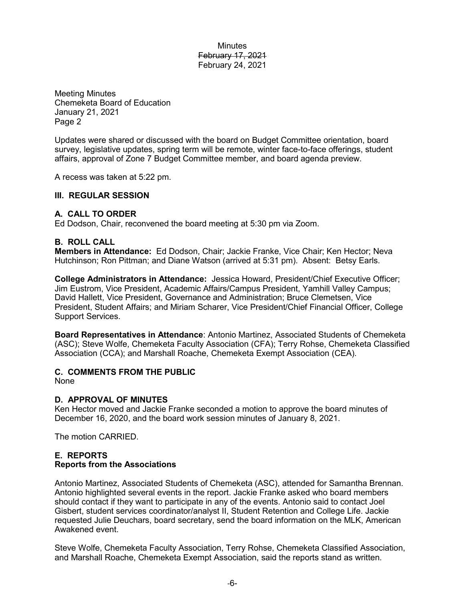Meeting Minutes Chemeketa Board of Education January 21, 2021 Page 2

Updates were shared or discussed with the board on Budget Committee orientation, board survey, legislative updates, spring term will be remote, winter face-to-face offerings, student affairs, approval of Zone 7 Budget Committee member, and board agenda preview.

A recess was taken at 5:22 pm.

### **III. REGULAR SESSION**

### **A. CALL TO ORDER**

Ed Dodson, Chair, reconvened the board meeting at 5:30 pm via Zoom.

### **B. ROLL CALL**

**Members in Attendance:** Ed Dodson, Chair; Jackie Franke, Vice Chair; Ken Hector; Neva Hutchinson; Ron Pittman; and Diane Watson (arrived at 5:31 pm). Absent: Betsy Earls.

**College Administrators in Attendance:** Jessica Howard, President/Chief Executive Officer; Jim Eustrom, Vice President, Academic Affairs/Campus President, Yamhill Valley Campus; David Hallett, Vice President, Governance and Administration; Bruce Clemetsen, Vice President, Student Affairs; and Miriam Scharer, Vice President/Chief Financial Officer, College Support Services.

**Board Representatives in Attendance**: Antonio Martinez, Associated Students of Chemeketa (ASC); Steve Wolfe, Chemeketa Faculty Association (CFA); Terry Rohse, Chemeketa Classified Association (CCA); and Marshall Roache, Chemeketa Exempt Association (CEA).

### **C. COMMENTS FROM THE PUBLIC**

None

### **D. APPROVAL OF MINUTES**

Ken Hector moved and Jackie Franke seconded a motion to approve the board minutes of December 16, 2020, and the board work session minutes of January 8, 2021.

The motion CARRIED.

## **E. REPORTS Reports from the Associations**

Antonio Martinez, Associated Students of Chemeketa (ASC), attended for Samantha Brennan. Antonio highlighted several events in the report. Jackie Franke asked who board members should contact if they want to participate in any of the events. Antonio said to contact Joel Gisbert, student services coordinator/analyst II, Student Retention and College Life. Jackie requested Julie Deuchars, board secretary, send the board information on the MLK, American Awakened event.

Steve Wolfe, Chemeketa Faculty Association, Terry Rohse, Chemeketa Classified Association, and Marshall Roache, Chemeketa Exempt Association, said the reports stand as written.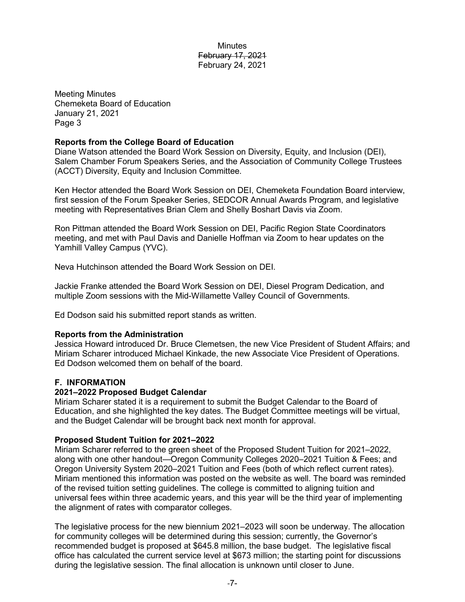Meeting Minutes Chemeketa Board of Education January 21, 2021 Page 3

## **Reports from the College Board of Education**

Diane Watson attended the Board Work Session on Diversity, Equity, and Inclusion (DEI), Salem Chamber Forum Speakers Series, and the Association of Community College Trustees (ACCT) Diversity, Equity and Inclusion Committee.

Ken Hector attended the Board Work Session on DEI, Chemeketa Foundation Board interview, first session of the Forum Speaker Series, SEDCOR Annual Awards Program, and legislative meeting with Representatives Brian Clem and Shelly Boshart Davis via Zoom.

Ron Pittman attended the Board Work Session on DEI, Pacific Region State Coordinators meeting, and met with Paul Davis and Danielle Hoffman via Zoom to hear updates on the Yamhill Valley Campus (YVC).

Neva Hutchinson attended the Board Work Session on DEI.

Jackie Franke attended the Board Work Session on DEI, Diesel Program Dedication, and multiple Zoom sessions with the Mid-Willamette Valley Council of Governments.

Ed Dodson said his submitted report stands as written.

# **Reports from the Administration**

Jessica Howard introduced Dr. Bruce Clemetsen, the new Vice President of Student Affairs; and Miriam Scharer introduced Michael Kinkade, the new Associate Vice President of Operations. Ed Dodson welcomed them on behalf of the board.

# **F. INFORMATION**

### **2021–2022 Proposed Budget Calendar**

Miriam Scharer stated it is a requirement to submit the Budget Calendar to the Board of Education, and she highlighted the key dates. The Budget Committee meetings will be virtual, and the Budget Calendar will be brought back next month for approval.

### **Proposed Student Tuition for 2021–2022**

Miriam Scharer referred to the green sheet of the Proposed Student Tuition for 2021–2022, along with one other handout—Oregon Community Colleges 2020–2021 Tuition & Fees; and Oregon University System 2020–2021 Tuition and Fees (both of which reflect current rates). Miriam mentioned this information was posted on the website as well. The board was reminded of the revised tuition setting guidelines. The college is committed to aligning tuition and universal fees within three academic years, and this year will be the third year of implementing the alignment of rates with comparator colleges.

The legislative process for the new biennium 2021–2023 will soon be underway. The allocation for community colleges will be determined during this session; currently, the Governor's recommended budget is proposed at \$645.8 million, the base budget. The legislative fiscal office has calculated the current service level at \$673 million; the starting point for discussions during the legislative session. The final allocation is unknown until closer to June.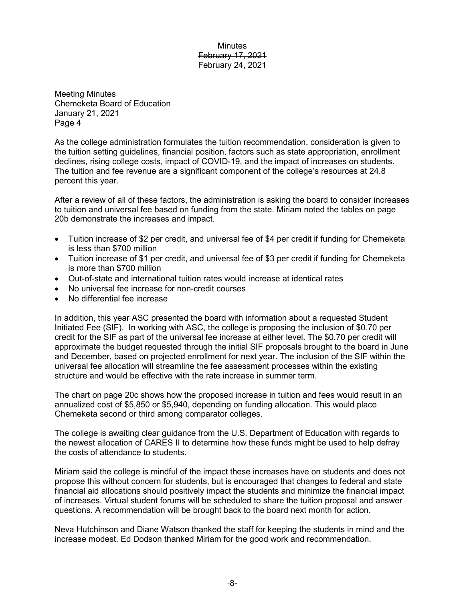Meeting Minutes Chemeketa Board of Education January 21, 2021 Page 4

As the college administration formulates the tuition recommendation, consideration is given to the tuition setting guidelines, financial position, factors such as state appropriation, enrollment declines, rising college costs, impact of COVID-19, and the impact of increases on students. The tuition and fee revenue are a significant component of the college's resources at 24.8 percent this year.

After a review of all of these factors, the administration is asking the board to consider increases to tuition and universal fee based on funding from the state. Miriam noted the tables on page 20b demonstrate the increases and impact.

- Tuition increase of \$2 per credit, and universal fee of \$4 per credit if funding for Chemeketa is less than \$700 million
- Tuition increase of \$1 per credit, and universal fee of \$3 per credit if funding for Chemeketa is more than \$700 million
- Out-of-state and international tuition rates would increase at identical rates
- No universal fee increase for non-credit courses
- No differential fee increase

In addition, this year ASC presented the board with information about a requested Student Initiated Fee (SIF). In working with ASC, the college is proposing the inclusion of \$0.70 per credit for the SIF as part of the universal fee increase at either level. The \$0.70 per credit will approximate the budget requested through the initial SIF proposals brought to the board in June and December, based on projected enrollment for next year. The inclusion of the SIF within the universal fee allocation will streamline the fee assessment processes within the existing structure and would be effective with the rate increase in summer term.

The chart on page 20c shows how the proposed increase in tuition and fees would result in an annualized cost of \$5,850 or \$5,940, depending on funding allocation. This would place Chemeketa second or third among comparator colleges.

The college is awaiting clear guidance from the U.S. Department of Education with regards to the newest allocation of CARES II to determine how these funds might be used to help defray the costs of attendance to students.

Miriam said the college is mindful of the impact these increases have on students and does not propose this without concern for students, but is encouraged that changes to federal and state financial aid allocations should positively impact the students and minimize the financial impact of increases. Virtual student forums will be scheduled to share the tuition proposal and answer questions. A recommendation will be brought back to the board next month for action.

Neva Hutchinson and Diane Watson thanked the staff for keeping the students in mind and the increase modest. Ed Dodson thanked Miriam for the good work and recommendation.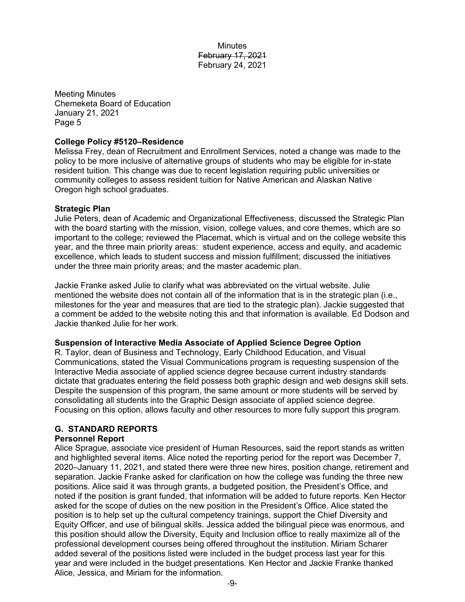Meeting Minutes Chemeketa Board of Education January 21, 2021 Page 5

### **College Policy #5120–Residence**

Melissa Frey, dean of Recruitment and Enrollment Services, noted a change was made to the policy to be more inclusive of alternative groups of students who may be eligible for in-state resident tuition. This change was due to recent legislation requiring public universities or community colleges to assess resident tuition for Native American and Alaskan Native Oregon high school graduates.

## **Strategic Plan**

Julie Peters, dean of Academic and Organizational Effectiveness, discussed the Strategic Plan with the board starting with the mission, vision, college values, and core themes, which are so important to the college; reviewed the Placemat, which is virtual and on the college website this year, and the three main priority areas: student experience, access and equity, and academic excellence, which leads to student success and mission fulfillment; discussed the initiatives under the three main priority areas; and the master academic plan.

Jackie Franke asked Julie to clarify what was abbreviated on the virtual website. Julie mentioned the website does not contain all of the information that is in the strategic plan (i.e., milestones for the year and measures that are tied to the strategic plan). Jackie suggested that a comment be added to the website noting this and that information is available. Ed Dodson and Jackie thanked Julie for her work.

### **Suspension of Interactive Media Associate of Applied Science Degree Option**

R. Taylor, dean of Business and Technology, Early Childhood Education, and Visual Communications, stated the Visual Communications program is requesting suspension of the Interactive Media associate of applied science degree because current industry standards dictate that graduates entering the field possess both graphic design and web designs skill sets. Despite the suspension of this program, the same amount or more students will be served by consolidating all students into the Graphic Design associate of applied science degree. Focusing on this option, allows faculty and other resources to more fully support this program.

# **G. STANDARD REPORTS**

## **Personnel Report**

Alice Sprague, associate vice president of Human Resources, said the report stands as written and highlighted several items. Alice noted the reporting period for the report was December 7, 2020–January 11, 2021, and stated there were three new hires, position change, retirement and separation. Jackie Franke asked for clarification on how the college was funding the three new positions. Alice said it was through grants, a budgeted position, the President's Office, and noted if the position is grant funded, that information will be added to future reports. Ken Hector asked for the scope of duties on the new position in the President's Office. Alice stated the position is to help set up the cultural competency trainings, support the Chief Diversity and Equity Officer, and use of bilingual skills. Jessica added the bilingual piece was enormous, and this position should allow the Diversity, Equity and Inclusion office to really maximize all of the professional development courses being offered throughout the institution. Miriam Scharer added several of the positions listed were included in the budget process last year for this year and were included in the budget presentations. Ken Hector and Jackie Franke thanked Alice, Jessica, and Miriam for the information.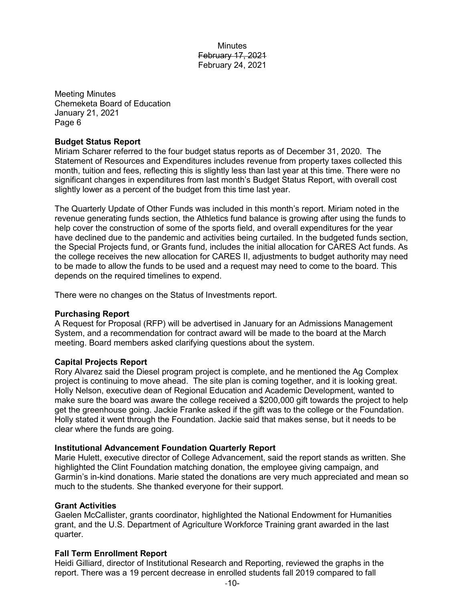Meeting Minutes Chemeketa Board of Education January 21, 2021 Page 6

### **Budget Status Report**

Miriam Scharer referred to the four budget status reports as of December 31, 2020. The Statement of Resources and Expenditures includes revenue from property taxes collected this month, tuition and fees, reflecting this is slightly less than last year at this time. There were no significant changes in expenditures from last month's Budget Status Report, with overall cost slightly lower as a percent of the budget from this time last year.

The Quarterly Update of Other Funds was included in this month's report. Miriam noted in the revenue generating funds section, the Athletics fund balance is growing after using the funds to help cover the construction of some of the sports field, and overall expenditures for the year have declined due to the pandemic and activities being curtailed. In the budgeted funds section, the Special Projects fund, or Grants fund, includes the initial allocation for CARES Act funds. As the college receives the new allocation for CARES II, adjustments to budget authority may need to be made to allow the funds to be used and a request may need to come to the board. This depends on the required timelines to expend.

There were no changes on the Status of Investments report.

### **Purchasing Report**

A Request for Proposal (RFP) will be advertised in January for an Admissions Management System, and a recommendation for contract award will be made to the board at the March meeting. Board members asked clarifying questions about the system.

### **Capital Projects Report**

Rory Alvarez said the Diesel program project is complete, and he mentioned the Ag Complex project is continuing to move ahead. The site plan is coming together, and it is looking great. Holly Nelson, executive dean of Regional Education and Academic Development, wanted to make sure the board was aware the college received a \$200,000 gift towards the project to help get the greenhouse going. Jackie Franke asked if the gift was to the college or the Foundation. Holly stated it went through the Foundation. Jackie said that makes sense, but it needs to be clear where the funds are going.

### **Institutional Advancement Foundation Quarterly Report**

Marie Hulett, executive director of College Advancement, said the report stands as written. She highlighted the Clint Foundation matching donation, the employee giving campaign, and Garmin's in-kind donations. Marie stated the donations are very much appreciated and mean so much to the students. She thanked everyone for their support.

### **Grant Activities**

Gaelen McCallister, grants coordinator, highlighted the National Endowment for Humanities grant, and the U.S. Department of Agriculture Workforce Training grant awarded in the last quarter.

### **Fall Term Enrollment Report**

Heidi Gilliard, director of Institutional Research and Reporting, reviewed the graphs in the report. There was a 19 percent decrease in enrolled students fall 2019 compared to fall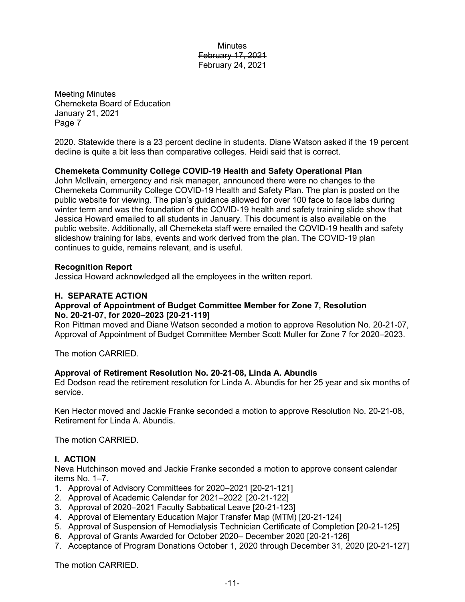Meeting Minutes Chemeketa Board of Education January 21, 2021 Page 7

2020. Statewide there is a 23 percent decline in students. Diane Watson asked if the 19 percent decline is quite a bit less than comparative colleges. Heidi said that is correct.

# **Chemeketa Community College COVID-19 Health and Safety Operational Plan**

John McIlvain, emergency and risk manager, announced there were no changes to the Chemeketa Community College COVID-19 Health and Safety Plan. The plan is posted on the public website for viewing. The plan's guidance allowed for over 100 face to face labs during winter term and was the foundation of the COVID-19 health and safety training slide show that Jessica Howard emailed to all students in January. This document is also available on the public website. Additionally, all Chemeketa staff were emailed the COVID-19 health and safety slideshow training for labs, events and work derived from the plan. The COVID-19 plan continues to guide, remains relevant, and is useful.

## **Recognition Report**

Jessica Howard acknowledged all the employees in the written report.

## **H. SEPARATE ACTION**

## **Approval of Appointment of Budget Committee Member for Zone 7, Resolution No. 20-21-07, for 2020–2023 [20-21-119]**

Ron Pittman moved and Diane Watson seconded a motion to approve Resolution No. 20-21-07, Approval of Appointment of Budget Committee Member Scott Muller for Zone 7 for 2020–2023.

The motion CARRIED.

# **Approval of Retirement Resolution No. 20-21-08, Linda A. Abundis**

Ed Dodson read the retirement resolution for Linda A. Abundis for her 25 year and six months of service.

Ken Hector moved and Jackie Franke seconded a motion to approve Resolution No. 20-21-08, Retirement for Linda A. Abundis.

The motion CARRIED.

# **I. ACTION**

Neva Hutchinson moved and Jackie Franke seconded a motion to approve consent calendar items No. 1–7.

- 1. Approval of Advisory Committees for 2020–2021 [20-21-121]
- 2. Approval of Academic Calendar for 2021–2022 [20-21-122]
- 3. Approval of 2020–2021 Faculty Sabbatical Leave [20-21-123]
- 4. Approval of Elementary Education Major Transfer Map (MTM) [20-21-124]
- 5. Approval of Suspension of Hemodialysis Technician Certificate of Completion [20-21-125]
- 6. Approval of Grants Awarded for October 2020– December 2020 [20-21-126]
- 7. Acceptance of Program Donations October 1, 2020 through December 31, 2020 [20-21-127]

The motion CARRIED.